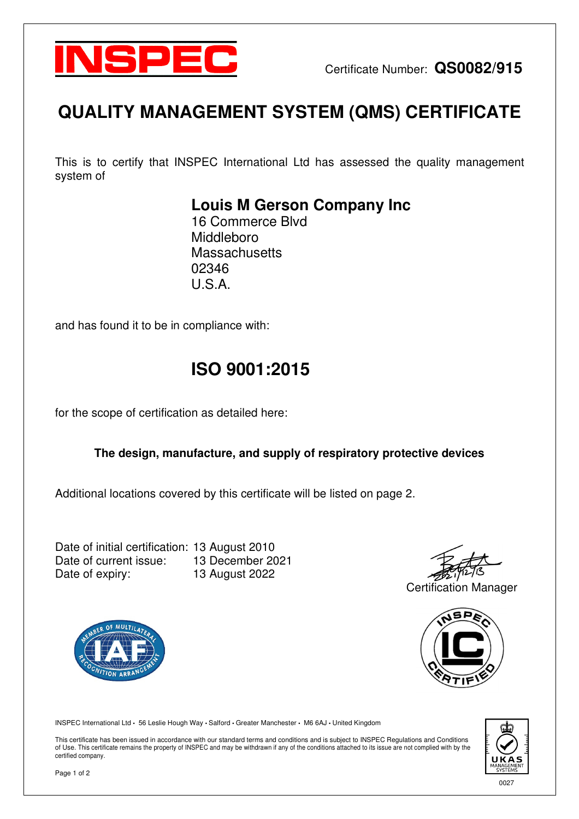

# **QUALITY MANAGEMENT SYSTEM (QMS) CERTIFICATE**

This is to certify that INSPEC International Ltd has assessed the quality management system of

### **Louis M Gerson Company Inc**

16 Commerce Blvd Middleboro **Massachusetts** 02346  $U.S.A$ 

and has found it to be in compliance with:

## **ISO 9001:2015**

for the scope of certification as detailed here:

#### **The design, manufacture, and supply of respiratory protective devices**

Additional locations covered by this certificate will be listed on page 2.

Date of initial certification: 13 August 2010 Date of current issue: 13 December 2021 Date of expiry: 13 August 2022

Certification Manager



**JON APRA** 

INSPEC International Ltd **•** 56 Leslie Hough Way **•** Salford **•** Greater Manchester **•** M6 6AJ **•** United Kingdom

This certificate has been issued in accordance with our standard terms and conditions and is subject to INSPEC Regulations and Conditions of Use. This certificate remains the property of INSPEC and may be withdrawn if any of the conditions attached to its issue are not complied with by the certified company.